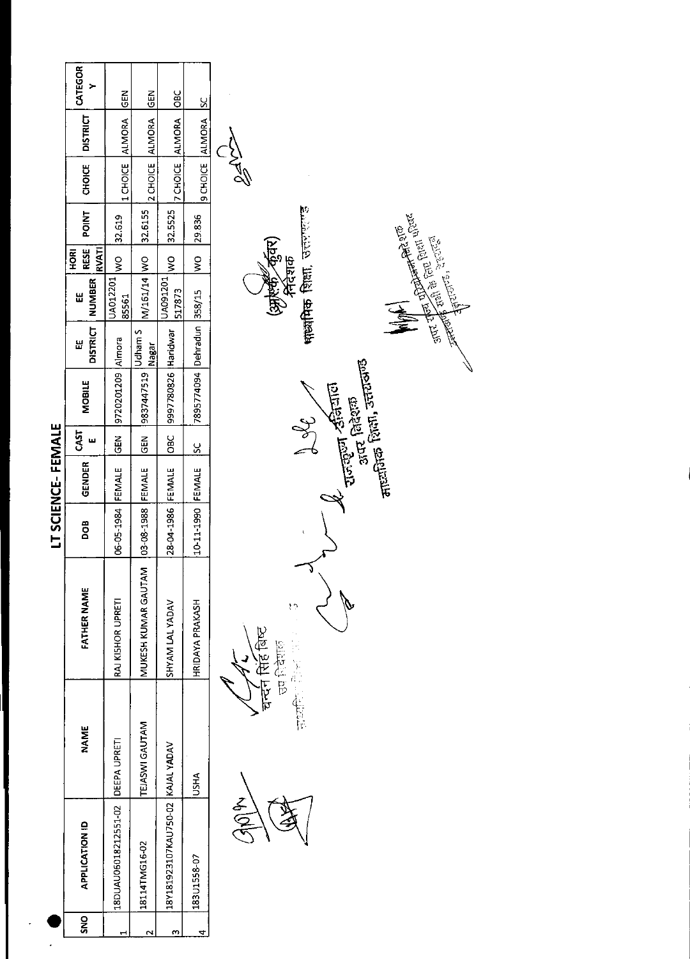|                   | CATEGOR<br>>                       | <b>GEN</b>           | <b>GEN</b>          | OBC                              | <u>s</u>                   |                                                                                                                                                                                                                                                                                                      |
|-------------------|------------------------------------|----------------------|---------------------|----------------------------------|----------------------------|------------------------------------------------------------------------------------------------------------------------------------------------------------------------------------------------------------------------------------------------------------------------------------------------------|
|                   | <b>DISTRICT</b>                    | ALMORA               | <b>ALMORA</b>       |                                  |                            |                                                                                                                                                                                                                                                                                                      |
|                   | <b>CHOICE</b>                      | 1 CHOICE             | 2 CHOICE            | 7 CHOICE ALMORA                  | 9 CHOICE ALMORA            | <b>NA90</b>                                                                                                                                                                                                                                                                                          |
|                   | <b>POINT</b>                       | 32.619               | 32.6155             | 32.5525                          | 29.836                     |                                                                                                                                                                                                                                                                                                      |
|                   | <b>RVATI</b><br>RESE<br><b>ROH</b> | $\frac{1}{2}$        |                     | $\frac{8}{2}$                    | ş                          |                                                                                                                                                                                                                                                                                                      |
|                   | <b>NUMBER</b><br>Ш                 | UA012201<br>85561    | M/161/14 WO         | UA091201<br>517873               |                            | पार्थ्यायिक शिक्षा, उत्तर उ<br><b>And the Contract of the Second Property of the Second Property and Contract of the Second Property of the Second Property and Property and Property and Property and Property and Proper<br/>And Hart June 2002, 2003, 2003, 2004</b><br>(अर्जुली कुंवर)<br>सिंहशक |
|                   | <b>DISTRICT</b><br>出               |                      | Udham S<br>Nagar    |                                  |                            |                                                                                                                                                                                                                                                                                                      |
|                   | <b>MOBILE</b>                      | 9720201209 Almora    | 9837447519          | 9997780826 Haridwar              | 7895774094 Dehradun 358/15 | <sub>नाट्य</sub> तिक शिला, उत्तराण्ड<br>स<br>राजक्तूना <i>र</i> क्षियात<br>अंतर विदेशक                                                                                                                                                                                                               |
|                   | CAST<br>ш                          | <b>GEN</b>           | GEN                 | OBC                              | $\overline{\text{SC}}$     | $\frac{d}{dx}$                                                                                                                                                                                                                                                                                       |
|                   | GENDER                             | FEMALE               | FEMALE              | FEMALE                           | FEMALE                     |                                                                                                                                                                                                                                                                                                      |
| LT SCIENCE-FEMALE | DOB                                | 06-05-1984           | 03-08-1988          | 28-04-1986                       | 10-11-1990                 |                                                                                                                                                                                                                                                                                                      |
|                   | FATHER NAME                        | RAJ KISHOR UPRETI    | MUKESH KUMAR GAUTAM | SHYAM LAL YADAV                  | HRIDAYA PRAKASH            | ١ņ<br>चन्दन सिंह बिष्ट<br>医第五节<br><b>READER</b>                                                                                                                                                                                                                                                      |
|                   | <b>NAME</b>                        | DEEPA UPRETI         | TEJASWI GAUTAM      |                                  | USHA                       | r<br>B<br>主旨记                                                                                                                                                                                                                                                                                        |
|                   | APPLICATION ID                     | 18DUAU06018212551-02 | 18114TMG16-02       | 18Y181923107KAU750-02 KAJALYADAV | 183U1558-07                |                                                                                                                                                                                                                                                                                                      |
|                   | <b>ONS</b>                         | ⊣                    | $\sim$              | m                                | 4                          |                                                                                                                                                                                                                                                                                                      |
|                   |                                    |                      |                     |                                  |                            |                                                                                                                                                                                                                                                                                                      |

 $\overline{\phantom{a}}$ 

 $\sqrt{2}$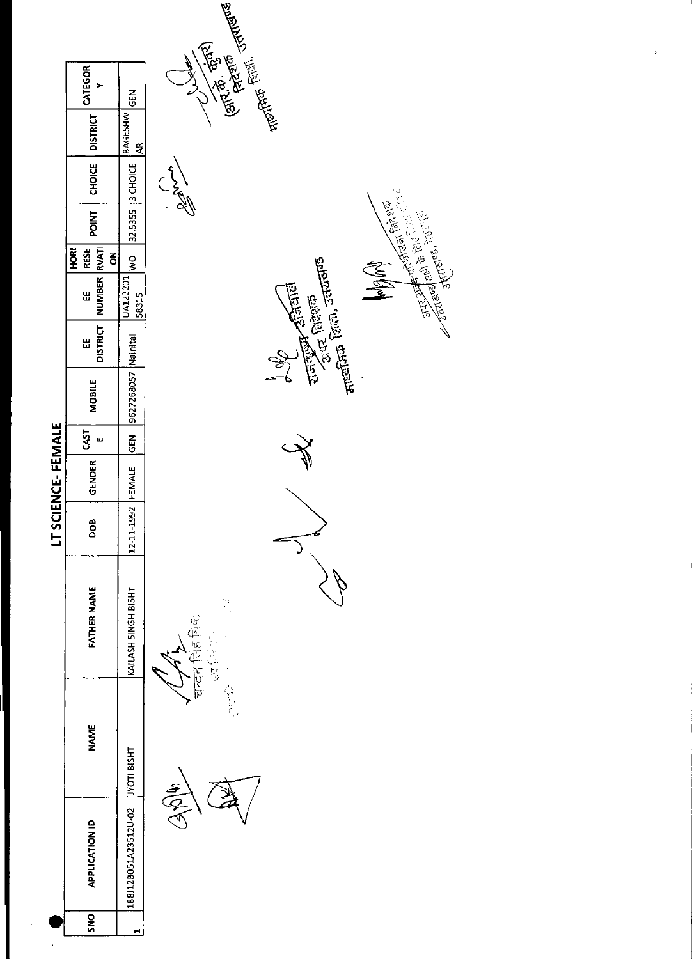|                 |                                   |                                  |                   |                                                                                             | LT SCIENCE-FEMALE |                      |                      |                   |                                 |              |                  |                            |                                                                                                                                                                                                                                                       |
|-----------------|-----------------------------------|----------------------------------|-------------------|---------------------------------------------------------------------------------------------|-------------------|----------------------|----------------------|-------------------|---------------------------------|--------------|------------------|----------------------------|-------------------------------------------------------------------------------------------------------------------------------------------------------------------------------------------------------------------------------------------------------|
|                 | NAME                              | <b>FATHER NAME</b>               | DOB               | $\begin{array}{c c} \texttt{GENDER} & \texttt{CAST} \\ \texttt{E} & \texttt{E} \end{array}$ |                   | <b>MOBILE</b>        | <b>DISTRICT</b><br>出 | NUMBER RVATI<br>Ш | <b>HORI</b><br><b>RESE</b><br>š | <b>POINT</b> | CHOICE           |                            | DISTRICT CATEGOR                                                                                                                                                                                                                                      |
|                 | 188J12B051A23512U-02  JYOTI BISHT | KAILASH 5INGH BISHT              | 12-11-1992 FEMALE |                                                                                             | $rac{5}{6}$       | 9627268057 [Nainital |                      | UA122201<br>58315 | $\frac{1}{2}$                   |              | 32.5355 3 CHOICE | <b>BAGESHW</b><br><u>হ</u> | GEN                                                                                                                                                                                                                                                   |
| $\widetilde{Q}$ | 美国际                               | Ì.<br>चन्दन सिंह बिष्ट<br>r<br>P |                   |                                                                                             | ς                 |                      | $\lessgtr$           |                   |                                 |              | CAN              |                            | <b>Expertise Service Service Service Service Service Service Service Service Service Service Service Service Service Service Service Service Service Service Service Service Service Service Service Service Service Service Ser</b><br>$\frac{1}{2}$ |

 $\cdot$ 

 $\ddot{\phantom{0}}$ 

 $\rightarrow$ 

**COLLEGE SERVER STATES REPARTMENT CONTROLLER STATES REPARTMENT CONTROLLER STATES SERVER STATES STATES SERVER S Communities** Communities Communities Communities Communities May

 $\hat{\boldsymbol{\cdot} }$ 

 $\hat{\boldsymbol{\beta}}$ 

 $\hat{\boldsymbol{\gamma}}$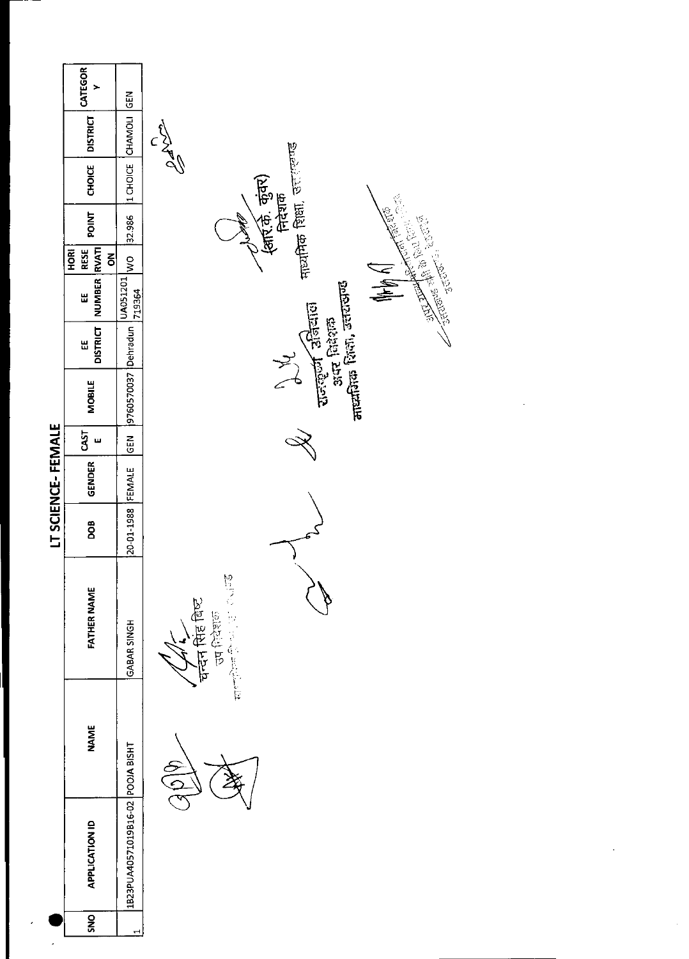|                   | CATEGOR<br>$\overline{ }$ | $rac{2}{65}$                      |                                                                |
|-------------------|---------------------------|-----------------------------------|----------------------------------------------------------------|
|                   | <b>DISTRICT</b>           |                                   | CANN                                                           |
|                   | <b>CHOICE</b>             | 1 CHOICE CHAMOLI                  | <sub>मायमिक</sub> शिक्षा, उत्तराज्यण्ड<br>$\frac{\sqrt{3}}{2}$ |
|                   | <b>TAIDE</b>              | 32.986                            | ्<br>(कार्ट्ज़, कुंवर)<br>निदेशक                               |
|                   | <b>RESE</b><br>HORI<br>링  | $\frac{1}{2}$                     |                                                                |
|                   | NUMBER RVATI<br>Ш         | UA051201<br>719364                | <b>Cardinal Communication</b><br>N WHO                         |
|                   | <b>DISTRICT</b><br>Ш      |                                   | $tan$ $\frac{1}{2}$ $tan \frac{1}{2}$<br><b>Site Breem</b>     |
|                   | <b>MOBILE</b>             | 9760570037 Dehradun               | नाध्यकिक शिला, उत्तरासण्ड<br>l,                                |
|                   | CAST<br>$\mathbf{u}$      | GEN                               |                                                                |
| LT SCIENCE-FEMALE | <b>GENDER</b>             | FEMALE                            |                                                                |
|                   | <b>BOO</b>                | 20-01-1988                        |                                                                |
|                   | FATHER NAME               | GABAR SINGH                       | 2015年1月1日<br>चन्दन सिंह विष्ट<br>उन शिदेशक                     |
|                   | <b>NAME</b>               |                                   | (96)                                                           |
|                   | <b>APPLICATION ID</b>     | 1B23PUA40571019B16-02 POOJA BISHT |                                                                |
| ,                 | SNO                       | ⊣                                 |                                                                |

 $\ddot{\phantom{0}}$ 

 $\frac{1}{2}$ 

 $\ddot{\phantom{0}}$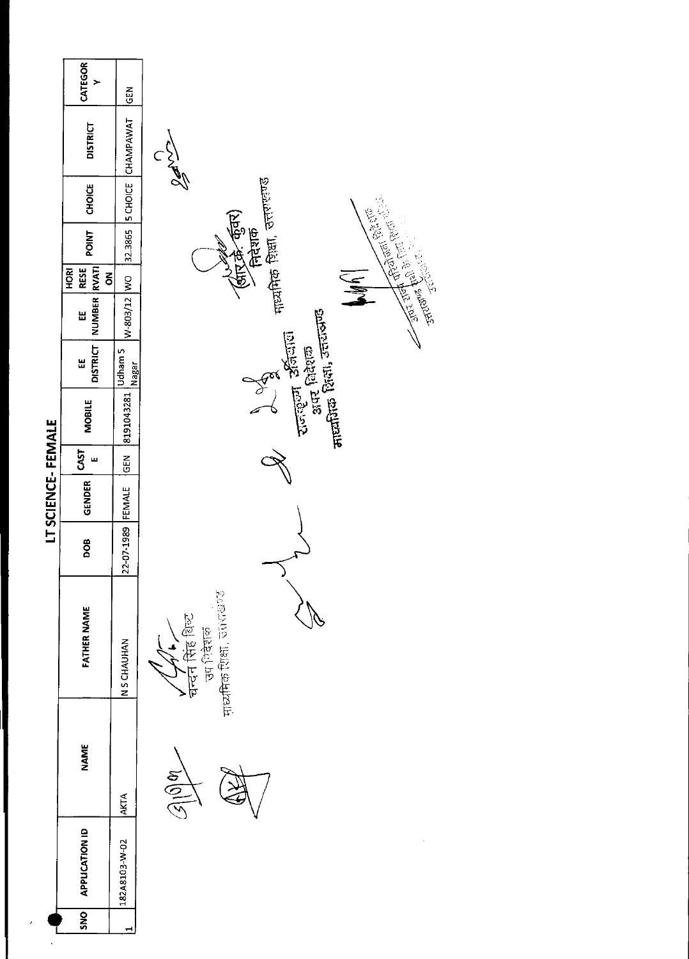|                   | CATEGOR<br>$\geq$              | $\overline{5}$    |                                                                                                                                                   |
|-------------------|--------------------------------|-------------------|---------------------------------------------------------------------------------------------------------------------------------------------------|
|                   | <b>DISTRICT</b>                | CHAMPAWAT         | $\frac{1}{2}$                                                                                                                                     |
|                   | CHOICE                         | $ $ 5 CHOICE      | मायमिक शिक्षा, उत्तरालण्ड<br><b>Company of the Company of School</b> School School School School School School School School School School School |
|                   | POINT                          | 32.3865           | (अंत्रिक्रे-कुँवर)<br>रितेशक                                                                                                                      |
|                   | RESE<br>HORI<br>$\overline{6}$ |                   |                                                                                                                                                   |
|                   | NUMBER RVATI<br>Ш              | W-803/12 WO       |                                                                                                                                                   |
|                   | <b>DISTRICT</b><br>出           | Udham S<br>Nagar  | $\frac{1}{2}$                                                                                                                                     |
|                   | <b>MOBILE</b>                  | 8191043281        | <b>Alternatives</b> Davis, <del>Jerusal</del> i<br>राजल्ला अतिलाग<br>अय. शिशक                                                                     |
|                   | CAST<br>ш                      | <b>KEN</b>        |                                                                                                                                                   |
| LT SCIENCE-FEMALE | <b>GENDER</b>                  |                   |                                                                                                                                                   |
|                   | DOB                            | 22-07-1989 FEMALE |                                                                                                                                                   |
|                   | <b>FATHER NAME</b>             | N S CHAUHAN       | मुध्यमिक शिक्षा, उत्तराखण्ड<br>चन्दन सिंह शिल्ट<br><b>SEPECE</b>                                                                                  |
|                   | <b>NAME</b>                    | <b>AKTA</b>       | $\mathbb{Z}^{100}$                                                                                                                                |
|                   | <b>APPLICATION ID</b>          | 182A8103-W-02     |                                                                                                                                                   |
|                   | SNO <sub>1</sub>               | ᆋ                 |                                                                                                                                                   |
|                   |                                |                   |                                                                                                                                                   |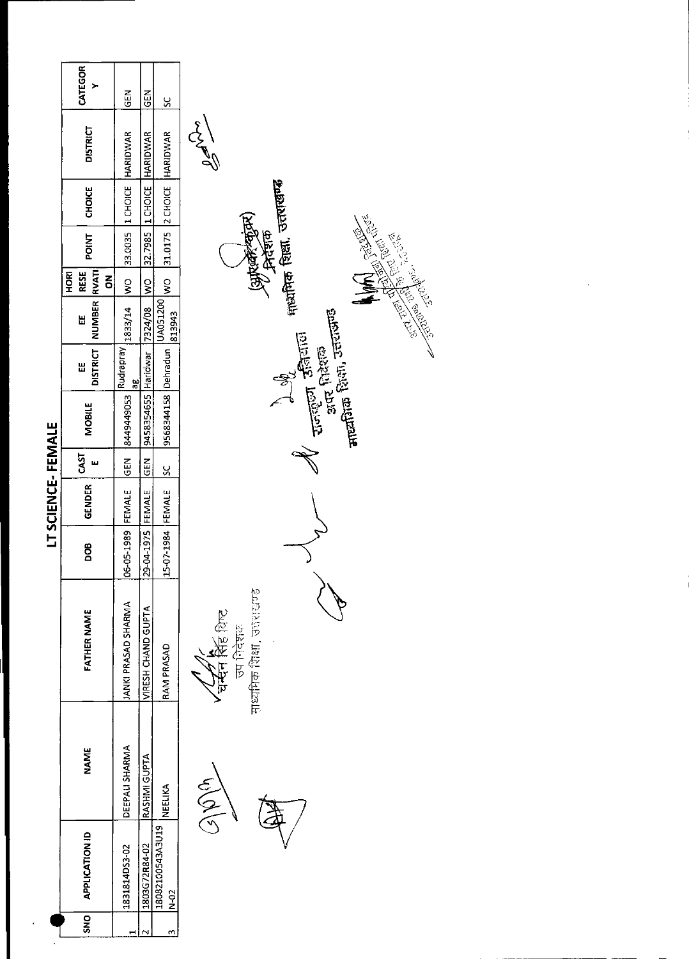|                   | CATEGOR<br>≻                                  | 도<br>55             | <b>GEN</b>          | $\frac{5}{5}$               |                                                                                                                     |
|-------------------|-----------------------------------------------|---------------------|---------------------|-----------------------------|---------------------------------------------------------------------------------------------------------------------|
|                   | <b>DISTRICT</b>                               | HARIDWAR            | HARIDWAR            | 31.0175 2 CHOICE HARIDWAR   | $\frac{1}{2}\int\limits_{0}^{2\cdot 1}$                                                                             |
|                   | CHOICE                                        | 1 CHOICE            | 32.7985  1 CHOICE   |                             | নাআঁনিক থিয়া, তলমাজার্জ                                                                                            |
|                   | <b>POINT</b>                                  | 33.0035             |                     |                             | <b>Supervation</b><br><b>CONTRACTOR REPAIRING STATES</b>                                                            |
|                   | RVATI<br>RESE<br><b>ROH</b><br>$\overline{6}$ | $rac{1}{2}$         | $\leq$              | $\frac{1}{2}$               |                                                                                                                     |
|                   | <b>NUMBER</b><br>Ш                            | 1833/14             | 7324/08             | UA051200<br>813943          |                                                                                                                     |
|                   | <b>DISTRICT</b><br>Ш                          | Rudrapray<br>æ      |                     |                             |                                                                                                                     |
|                   | <b>MOBILE</b>                                 | 8449449053          | 9458354655 Haridwar | 9568344158 Dehradun         | $\frac{1}{2}$ and $\frac{1}{2}$ and $\frac{1}{2}$ and $\frac{1}{2}$<br><b>July Rand</b><br>Torigon Rand<br>Ste Rand |
|                   | <b>GST</b><br>щ                               | <b>GEN</b>          | <b>SEN</b>          | š                           |                                                                                                                     |
| LT SCIENCE-FEMALE | GENDER                                        |                     |                     |                             |                                                                                                                     |
|                   | DOB                                           | 06-05-1989 FEMALE   | 29-04-1975 FEMALE   | 15-07-1984 FEMALE           |                                                                                                                     |
|                   | FATHER NAME                                   | JANKI PRASAD SHARMA | VIRESH CHAND GUPTA  | RAM PRASAD                  | माध्यनिक शिक्षा, उत्तराखण्ड<br>र्ट्सन सिंह बिल्ट<br>चन्दन सिंह बिल्ट<br>उप निदेशहर                                  |
|                   | <b>NAME</b>                                   | DEEPALI SHARMA      | RASHMI GUPTA        | NEELIKA                     | $\langle 3   \hat{D} \rangle$                                                                                       |
|                   | <b>APPLICATION ID</b>                         | 1831814DS3-02       | 1803G72R84-02       | 18082100543A3U19<br>$N-0.2$ |                                                                                                                     |
|                   | <b>DNS</b>                                    | ᆏ                   | $\mathbf{\hat{z}}$  | m                           |                                                                                                                     |
|                   |                                               |                     |                     |                             |                                                                                                                     |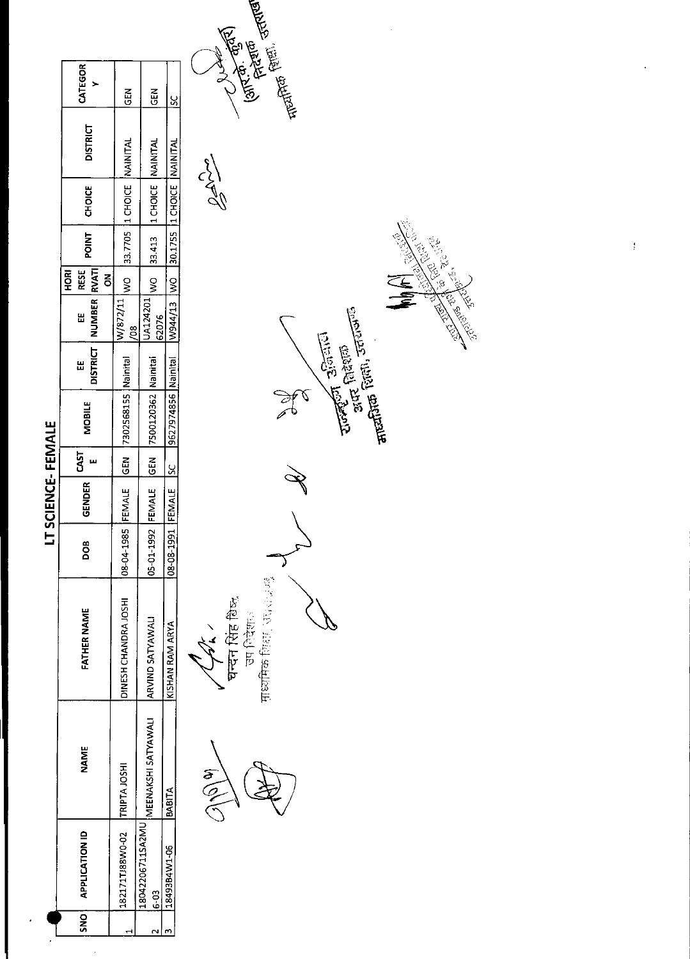|                               |                                        |                        |            | <b>IT SCIENCE-FEMALE</b> |             |                                |   |                                       |                   |              |                             |                 |                |               |
|-------------------------------|----------------------------------------|------------------------|------------|--------------------------|-------------|--------------------------------|---|---------------------------------------|-------------------|--------------|-----------------------------|-----------------|----------------|---------------|
| SNO   APPLICATION ID          | <b>NAME</b>                            | <b>FATHER NAME</b>     | 8OO        | GENDER                   | <b>CAST</b> | <b>MOBILE</b>                  | Ш | DISTRICT   NUMBER   RVATI<br>W        | RESE<br>HORI<br>š | <b>LNICd</b> | CHOICE                      | <b>DISTRICT</b> | CATEGOR        |               |
| 182171TJ88W0-02  TRIPTA JOSHI |                                        | DINESH CHANDRA JOSHI   | 8-04-1985  |                          |             | FEMALE GEN 7302568155 Nainital |   | W/872/11<br>$\frac{8}{9}$             | $\frac{1}{2}$     |              | 33.7705 11 CHOICE NAINITAL  |                 | <b>IGEN</b>    |               |
| 18042206711SA2MU<br>$6-3$     | MEENAKSHI SATYAWALI   ARVIND SATYAWALI |                        | 05-01-1992 | FEMALE GEN               |             | 7500120362 Nainital            |   | UA124201<br>62076                     |                   |              | WO 33.413 ILCHOICE NAINITAL |                 | <b>ABD</b>     |               |
| 18493B4W1-06                  | BABITA                                 | KISHAN RAM ARYA        | 08-08-1991 | FEMALE SC                |             | 9627974856   Nainital          |   | W944/13 WO 30.1755 11 CHOICE NAINITAL |                   |              |                             |                 | <u>ي</u><br>ما |               |
|                               | $\widetilde{\mathcal{C}}$              | 化生产品质<br>$\frac{1}{2}$ |            |                          |             |                                |   |                                       |                   |              | 13500                       |                 |                | <b>RANTAL</b> |



र करन सिंह बिष्क्<br>घन्दन सिंह बिष्क्<br>सध्यमिक सिद्धा , उदारा जन्म

**Turketin** Sistemin<br>Suck faktern<br>**arraftin** facture Sistemin No  $\mathscr{F}$ 

entra ferari stantan<br>Harjara ferari

**1976-1979**<br>(अंग्लिके-कुंकी)

**REA** EN REA  $\sum_{i=1}^{n}$ **CONSTRUCTION CONSTRUCTION AND INCORPORATION** Children of Children

 $\mathfrak{f}$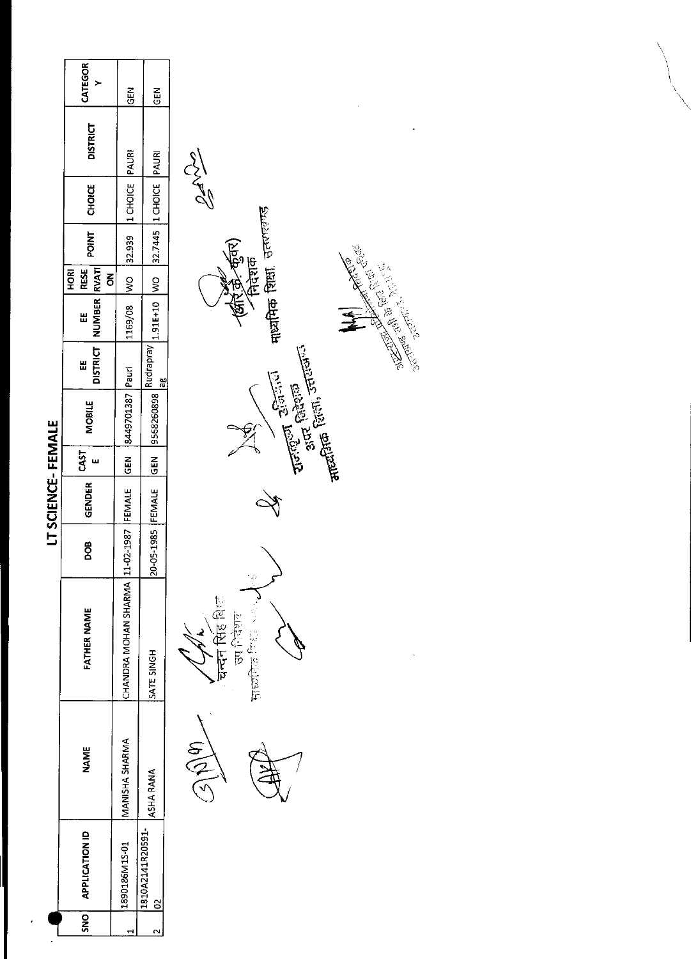|                   | CATEGOR<br>≻                          | $rac{1}{2}$                     | GEN                          |                                                                                                                                                                                                                                                                                                                                                                                                                                                      |
|-------------------|---------------------------------------|---------------------------------|------------------------------|------------------------------------------------------------------------------------------------------------------------------------------------------------------------------------------------------------------------------------------------------------------------------------------------------------------------------------------------------------------------------------------------------------------------------------------------------|
|                   | <b>DISTRICT</b>                       | PAURI                           | PAURI                        |                                                                                                                                                                                                                                                                                                                                                                                                                                                      |
|                   | CHOICE                                | 1 CHOICE                        | 1 CHOICE                     | <b>SM20</b>                                                                                                                                                                                                                                                                                                                                                                                                                                          |
|                   | POINT                                 | 32.939                          | 32.7445                      | र्कुवर)<br>निरंशक<br>क्रि<br>28.                                                                                                                                                                                                                                                                                                                                                                                                                     |
|                   | RESE<br><b>ROKI</b><br>$\overline{6}$ | S)                              | $\overline{\mathsf{S}}$      | 海海                                                                                                                                                                                                                                                                                                                                                                                                                                                   |
|                   | <b>NUMBER</b><br>Ш                    | 1169/08                         | 1.91E+10                     | गायमिक शिक्षा, उत्तराखण्ड<br><b>Replaced Markets</b>                                                                                                                                                                                                                                                                                                                                                                                                 |
|                   | <b>DISTRICT</b><br>쁣                  | Pauri                           | $\frac{1}{6}$                |                                                                                                                                                                                                                                                                                                                                                                                                                                                      |
|                   | <b>MOBILE</b>                         | 8449701387                      | 9568260898 Rudrapray         | $\frac{1}{\sqrt{1-\left(\frac{1}{2}\right)^2}}\cdot\frac{1}{\left(\frac{1}{2}\right)^{1/2}}\cdot\frac{1}{\left(\frac{1}{2}\right)^{1/2}}\cdot\frac{1}{\left(\frac{1}{2}\right)^{1/2}}\cdot\frac{1}{\left(\frac{1}{2}\right)^{1/2}}\cdot\frac{1}{\left(\frac{1}{2}\right)^{1/2}}\cdot\frac{1}{\left(\frac{1}{2}\right)^{1/2}}\cdot\frac{1}{\left(\frac{1}{2}\right)^{1/2}}\cdot\frac{1}{\left(\frac{1}{2}\right)^{1/2}}\cdot\frac{1}{\left(\frac{1}{$ |
|                   | CAST<br>ш                             | GEN                             | <b>SEN</b>                   |                                                                                                                                                                                                                                                                                                                                                                                                                                                      |
| LT SCIENCE-FEMALE | <b>GENDER</b>                         | FEMALE                          |                              |                                                                                                                                                                                                                                                                                                                                                                                                                                                      |
|                   | DOB                                   |                                 | 20-05-1985 FEMALE            |                                                                                                                                                                                                                                                                                                                                                                                                                                                      |
|                   | <b>FATHER NAME</b>                    | CHANDRA MOHAN SHARMA 11-02-1987 | SATE SINGH                   | $\frac{1}{2} \frac{1}{2}$<br>चन्दन सिंह शिल<br>Ş<br>自在日<br><b>HISOLETER</b>                                                                                                                                                                                                                                                                                                                                                                          |
|                   | <b>NAME</b>                           | MANISHA SHARMA                  | ASHA RANA                    | $\mathcal{A}(\mathfrak{h})$                                                                                                                                                                                                                                                                                                                                                                                                                          |
|                   | <b>APPLICATION ID</b>                 | 1890186M1S-01                   | 1810A2141R20591-<br>$\infty$ |                                                                                                                                                                                                                                                                                                                                                                                                                                                      |
|                   | SNO                                   | $\mathbf{\overline{u}}$         | $\sim$                       |                                                                                                                                                                                                                                                                                                                                                                                                                                                      |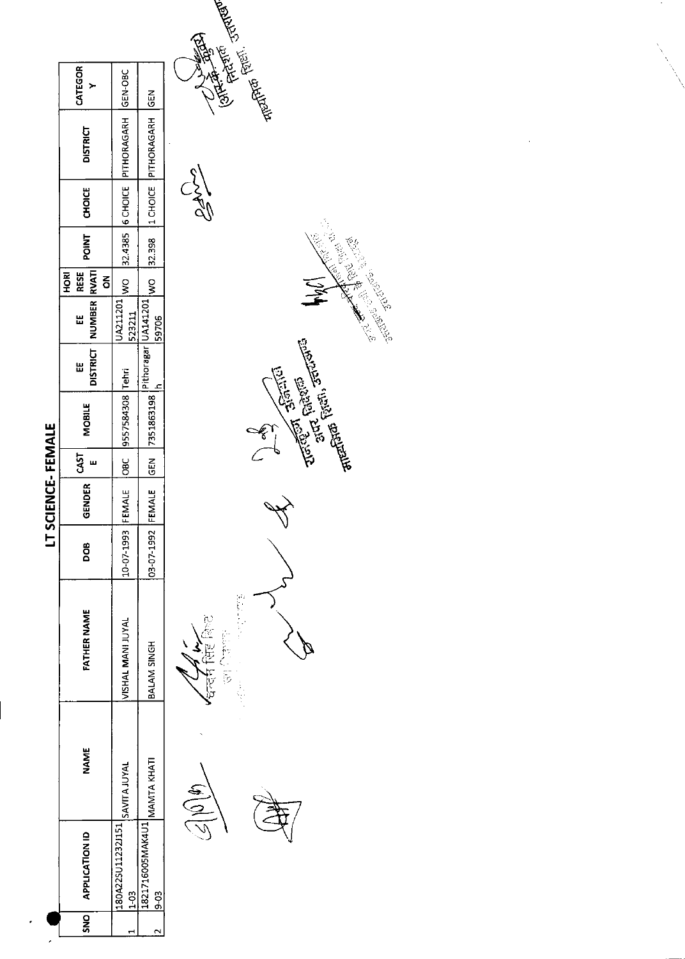|                    |                                 |                    | ╘          | SCIENCE-FEMALE |      |                                            |   |                                |                    |                |                                                  |         |
|--------------------|---------------------------------|--------------------|------------|----------------|------|--------------------------------------------|---|--------------------------------|--------------------|----------------|--------------------------------------------------|---------|
| SNO APPLICATION ID | NAME                            | <b>FATHER NAME</b> | <b>BOO</b> | <b>GENDER</b>  | CAST | MOBILE                                     | 띮 | DISTRICT   NUMBER   RVATI<br>Ш | RESE<br><b>ROH</b> | POINT   CHOICE | <b>DISTRICT</b>                                  | CATEGOR |
|                    |                                 |                    |            |                |      |                                            |   |                                | ξ                  |                |                                                  |         |
|                    | 1180A22SU11232J151 SAVITA JUYAL | VISHAL MANI JUYAL  | 10-07-1993 |                |      | FEMALE OBC 9557584308 Tehri                |   |                                |                    |                | JA211201 WO 32.4385 6 CHOICE PITHORAGARH GEN-OBC |         |
| $\frac{1}{1}$      |                                 |                    |            |                |      |                                            |   | 523211                         |                    |                |                                                  |         |
|                    | 11821716005MAK4U1 MAMTA KHATI   | BALAM SINGH        | 03-07-1992 |                |      | IFEMALE GEN 7351863198 Pithoragar UA141201 |   |                                |                    |                | WO 32.398 ILCHOUT PITHORAGARH GEN                |         |
| $\frac{1}{9}$      |                                 |                    |            |                |      |                                            |   | 59706                          |                    |                |                                                  |         |

 $\overline{\phantom{a}}$ 



 $\sqrt{\frac{1}{4\pi^2}}\prod_{i=1}^{N}\prod_{j=1}^{N-1}$ 

**CONTRACTOR**<br>CONTRACTOR REVEALER

 $C_{3}^{3}$ 





 $\ddot{\phantom{0}}$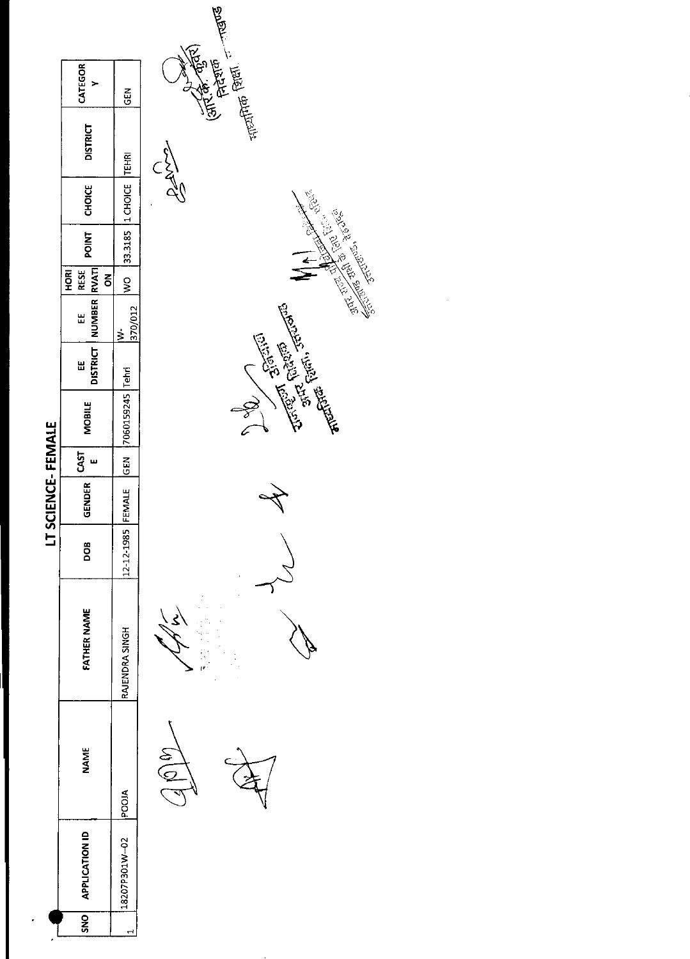|                              |      |                    |            | IT SCIENCE-FEMALE   |                       |                            |   |                                   |                                 |       |                           |                 |             |
|------------------------------|------|--------------------|------------|---------------------|-----------------------|----------------------------|---|-----------------------------------|---------------------------------|-------|---------------------------|-----------------|-------------|
| <b>APPLICATION ID</b><br>SNO | NAME | <b>FATHER NAME</b> | DOB        | GENDER <sup>1</sup> | $1$ CAST <sup>1</sup> | MOBILE                     | Ш | DISTRICT   NUMBER RVATI<br>u<br>u | <b>IRESE</b><br><b>ROH</b><br>š | POINT | <b>CHOICE</b>             | <b>DISTRICT</b> | CATEGOR     |
| 18207P301W-02 POOJA          |      | RAJENDRA SINGH     | 12-12-1985 |                     |                       | EMALE GEN 7060159245 Tehri |   | 370/012<br>ż                      |                                 |       | WO 33.3185 1 CHOICE TEHRI |                 | <b>IGEN</b> |
|                              |      |                    |            |                     |                       |                            |   |                                   |                                 |       |                           |                 |             |

Japp

Ċ, r<br>E

 $\frac{1}{2}$ 





**Relations**